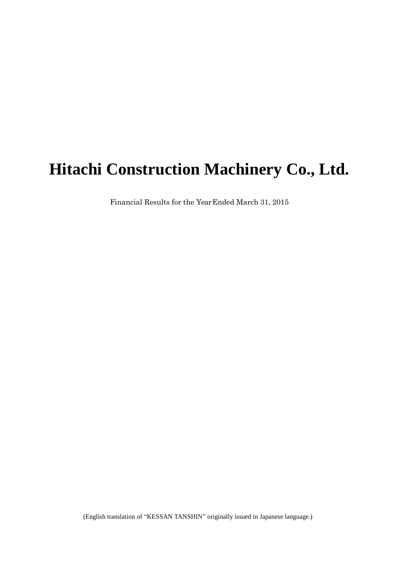# **Hitachi Construction Machinery Co., Ltd.**

Financial Results for the YearEnded March 31, 2015

(English translation of "KESSAN TANSHIN" originally issued in Japanese language.)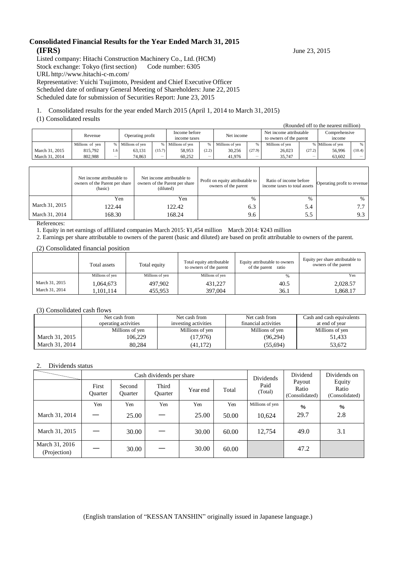### **Consolidated Financial Results for the Year Ended March 31, 2015 (IFRS)** June 23, 2015

Listed company: Hitachi Construction Machinery Co., Ltd. (HCM) Stock exchange: Tokyo (first section) Code number: 6305 URL <http://www.hitachi-c-m.com/> Representative: Yuichi Tsujimoto, President and Chief Executive Officer

Scheduled date of ordinary General Meeting of Shareholders: June 22, 2015

Scheduled date for submission of Securities Report: June 23, 2015

1. Consolidated results for the year ended March 2015 (April 1, 2014 to March 31, 2015)

### (1) Consolidated results

|                |                 |                  |                 |                               |                 |            |                 |                                                    |                 |                         | (Rounded off to the nearest million) |                          |
|----------------|-----------------|------------------|-----------------|-------------------------------|-----------------|------------|-----------------|----------------------------------------------------|-----------------|-------------------------|--------------------------------------|--------------------------|
|                | Revenue         | Operating profit |                 | Income before<br>income taxes |                 | Net income |                 | Net income attributable<br>to owners of the parent |                 | Comprehensive<br>income |                                      |                          |
|                | Millions of yen |                  | Millions of yen | $\%$                          | Millions of ven |            | Millions of yen | %                                                  | Millions of ven |                         | % Millions of yen                    | %                        |
| March 31, 2015 | 815,792         | 1.6              | 63,131          | (15.7)                        | 58.953          | (2.2)      | 30,256          | (27.9)                                             | 26,023          | (27.2)                  | 56,996                               | (10.4)                   |
| March 31, 2014 | 802.988         |                  | 74.863          | -                             | 60.252          |            | 41.976          |                                                    | 35.747          | –                       | 63.602                               | $\overline{\phantom{0}}$ |

|                | Net income attributable to<br>owners of the Parent per share<br>(basic) | Net income attributable to<br>owners of the Parent per share<br>(diluted) | Profit on equity attributable to<br>owners of the parent | Ratio of income before<br>income taxes to total assets | Operating profit to revenue |
|----------------|-------------------------------------------------------------------------|---------------------------------------------------------------------------|----------------------------------------------------------|--------------------------------------------------------|-----------------------------|
|                | Yen                                                                     | Yen                                                                       | $\%$                                                     | $\%$                                                   | $\%$                        |
| March 31, 2015 | 122.44                                                                  | 122.42                                                                    | 6.3                                                      | 5.4                                                    |                             |
| March 31, 2014 | 168.30                                                                  | 168.24                                                                    | 9.6                                                      | 5.5                                                    | 9.3                         |

References:

1. Equity in net earnings of affiliated companies March 2015: ¥1,454 million March 2014: ¥243 million

2. Earnings per share attributable to owners of the parent (basic and diluted) are based on profit attributable to owners of the parent.

(2) Consolidated financial position

|                | Total assets    | Total equity    | Total equity attributable<br>to owners of the parent | Equity attributable to owners<br>of the parent<br>ratio | Equity per share attributable to<br>owners of the parent |
|----------------|-----------------|-----------------|------------------------------------------------------|---------------------------------------------------------|----------------------------------------------------------|
|                | Millions of yen | Millions of ven | Millions of ven                                      | %                                                       | Yen                                                      |
| March 31, 2015 | 1,064,673       | 497.902         | 431,227                                              | 40.5                                                    | 2,028.57                                                 |
| March 31, 2014 | .101.114        | 455.953         | 397,004                                              | 36.1                                                    | 1,868.17                                                 |

#### (3) Consolidated cash flows

|                | Net cash from<br>operating activities | Net cash from<br>investing activities | Net cash from<br>financial activities | Cash and cash equivalents<br>at end of year |
|----------------|---------------------------------------|---------------------------------------|---------------------------------------|---------------------------------------------|
|                | Millions of yen                       | Millions of yen                       | Millions of yen                       | Millions of yen                             |
| March 31, 2015 | 106.229                               | (17,976)                              | (96,294)                              | 51.433                                      |
| March 31, 2014 | 80.284                                | (41, 172)                             | (55, 694)                             | 53.672                                      |

#### 2. Dividends status

|                                |                         |                          | Cash dividends per share | Dividends | Dividend | Dividends on    |                                   |                                   |
|--------------------------------|-------------------------|--------------------------|--------------------------|-----------|----------|-----------------|-----------------------------------|-----------------------------------|
|                                | First<br><b>Ouarter</b> | Second<br><b>Ouarter</b> | Third<br><b>Ouarter</b>  | Year end  | Total    |                 | Payout<br>Ratio<br>(Consolidated) | Equity<br>Ratio<br>(Consolidated) |
|                                | Yen                     | Yen                      | Yen                      | Yen       | Yen      | Millions of yen | $\%$                              | $\%$                              |
| March 31, 2014                 |                         | 25.00                    |                          | 25.00     | 50.00    | 10,624          | 29.7                              | 2.8                               |
| March 31, 2015                 |                         | 30.00                    |                          | 30.00     | 60.00    | 12.754          | 49.0                              | 3.1                               |
| March 31, 2016<br>(Projection) |                         | 30.00                    |                          | 30.00     | 60.00    |                 | 47.2                              |                                   |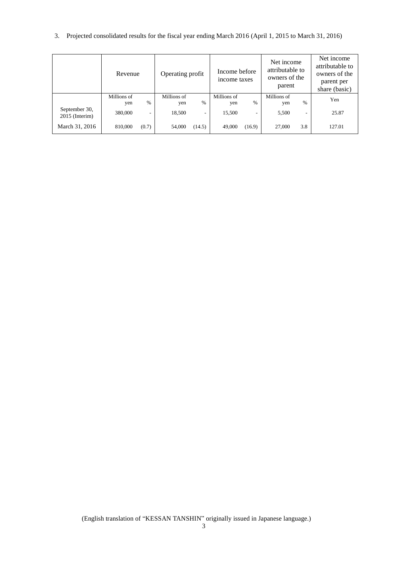3. Projected consolidated results for the fiscal year ending March 2016 (April 1, 2015 to March 31, 2016)

|                                   | Revenue            |       | Operating profit   |                          | Income before<br>income taxes |        | Net income<br>attributable to<br>owners of the<br>parent |                          | Net income<br>attributable to<br>owners of the<br>parent per<br>share (basic) |
|-----------------------------------|--------------------|-------|--------------------|--------------------------|-------------------------------|--------|----------------------------------------------------------|--------------------------|-------------------------------------------------------------------------------|
|                                   | Millions of<br>yen | $\%$  | Millions of<br>yen | $\%$                     | Millions of<br>yen            | $\%$   | Millions of<br>yen                                       | $\%$                     | Yen                                                                           |
| September 30,<br>$2015$ (Interim) | 380,000            | ۰     | 18,500             | $\overline{\phantom{a}}$ | 15,500                        | ۰      | 5,500                                                    | $\overline{\phantom{a}}$ | 25.87                                                                         |
| March 31, 2016                    | 810,000            | (0.7) | 54,000             | (14.5)                   | 49,000                        | (16.9) | 27,000                                                   | 3.8                      | 127.01                                                                        |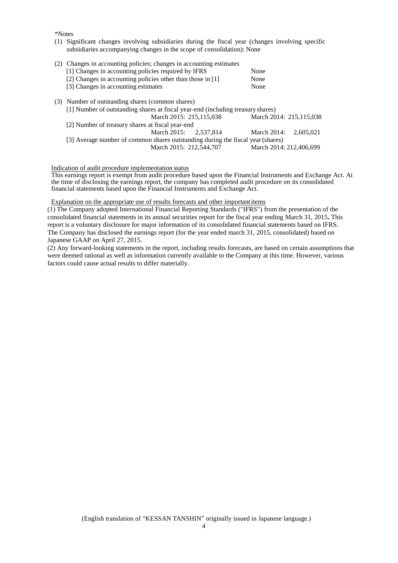\*Notes

- (1) Significant changes involving subsidiaries during the fiscal year (changes involving specific subsidiaries accompanying changes in the scope of consolidation): None
- (2) Changes in accounting policies; changes in accounting estimates [1] Changes in accounting policies required by IFRS None [2] Changes in accounting policies other than those in [1] None [2] Changes in accounting policies other than those in [1] None<br>
[3] Changes in accounting estimates None [3] Changes in accounting estimates (3) Number of outstanding shares (common shares) [1] Number of outstanding shares at fiscal year-end (including treasuryshares) March 2014: 215,115,038 [2] Number of treasury shares at fiscal year-end March 2015: 2,537,814 March 2014: 2,605,021 [3] Average number of common shares outstanding during the fiscal year (shares)<br>March 2015: 212,544,707 March 2014: 212,406,699 March 2015: 212,544,707

#### Indication of audit procedure implementation status

This earnings report is exempt from audit procedure based upon the Financial Instruments and Exchange Act. At the time of disclosing the earnings report, the company has completed audit procedure on its consolidated financial statements based upon the Financial Instruments and Exchange Act.

#### Explanation on the appropriate use of results forecasts and other importantitems

(1) The Company adopted International Financial Reporting Standards ("IFRS") from the presentation of the consolidated financial statements in its annual securities report for the fiscal year ending March 31, 2015**.** This report is a voluntary disclosure for major information of its consolidated financial statements based on IFRS. The Company has disclosed the earnings report (for the year ended march 31, 2015, consolidated) based on Japanese GAAP on April 27, 2015.

(2) Any forward-looking statements in the report, including results forecasts, are based on certain assumptions that were deemed rational as well as information currently available to the Company at this time. However, various factors could cause actual results to differ materially.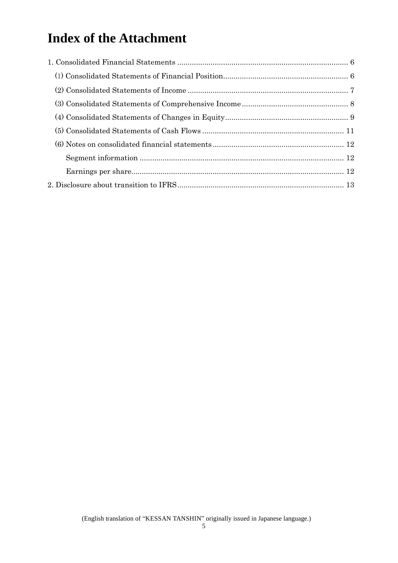## **Index of the Attachment**

<span id="page-4-0"></span>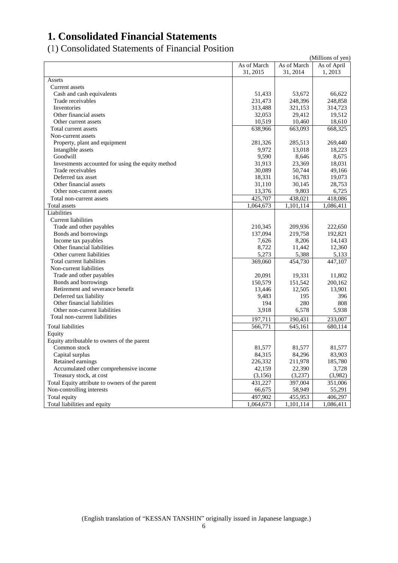## <span id="page-5-0"></span>**1. Consolidated Financial Statements**

<span id="page-5-1"></span>(1) Consolidated Statements of Financial Position

|                                                   |             |             | (Millions of yen) |
|---------------------------------------------------|-------------|-------------|-------------------|
|                                                   | As of March | As of March | As of April       |
|                                                   | 31, 2015    | 31, 2014    | 1,2013            |
| Assets                                            |             |             |                   |
| Current assets                                    |             |             |                   |
| Cash and cash equivalents                         | 51,433      | 53,672      | 66,622            |
| Trade receivables                                 | 231,473     | 248,396     | 248,858           |
| Inventories                                       | 313,488     | 321,153     | 314,723           |
| Other financial assets                            | 32,053      | 29,412      | 19,512            |
| Other current assets                              | 10,519      | 10,460      | 18,610            |
| Total current assets                              | 638,966     | 663,093     | 668,325           |
| Non-current assets                                |             |             |                   |
| Property, plant and equipment                     | 281,326     | 285,513     | 269,440           |
| Intangible assets                                 | 9,972       | 13,018      | 18,223            |
| Goodwill                                          | 9,590       | 8,646       | 8,675             |
| Investments accounted for using the equity method | 31,913      | 23,369      | 18,031            |
| Trade receivables                                 | 30,089      | 50,744      | 49,166            |
| Deferred tax asset                                | 18,331      | 16,783      | 19,073            |
| Other financial assets                            | 31,110      | 30,145      | 28,753            |
| Other non-current assets                          | 13,376      | 9,803       | 6,725             |
| Total non-current assets                          | 425,707     | 438,021     | 418,086           |
| Total assets                                      | 1,064,673   | 1,101,114   | 1,086,411         |
| Liabilities                                       |             |             |                   |
| <b>Current liabilities</b>                        |             |             |                   |
| Trade and other payables                          | 210,345     | 209,936     | 222,650           |
| Bonds and borrowings                              | 137,094     | 219,758     | 192,821           |
| Income tax payables                               | 7,626       | 8,206       | 14,143            |
| Other financial liabilities                       | 8,722       | 11,442      | 12,360            |
| Other current liabilities                         | 5,273       | 5,388       | 5,133             |
| Total current liabilities                         | 369,060     | 454,730     | 447,107           |
| Non-current liabilities                           |             |             |                   |
| Trade and other payables                          | 20,091      | 19,331      | 11,802            |
| Bonds and borrowings                              | 150,579     | 151,542     | 200,162           |
| Retirement and severance benefit                  | 13,446      | 12,505      | 13,901            |
| Deferred tax liability                            | 9,483       | 195         | 396               |
| Other financial liabilities                       | 194         | 280         | 808               |
| Other non-current liabilities                     | 3,918       | 6,578       | 5,938             |
| Total non-current liabilities                     | 197,711     | 190,431     | 233,007           |
| <b>Total liabilities</b>                          | 566,771     | 645,161     | 680,114           |
| Equity                                            |             |             |                   |
| Equity attributable to owners of the parent       |             |             |                   |
| Common stock                                      | 81,577      | 81,577      | 81,577            |
| Capital surplus                                   | 84,315      | 84,296      | 83,903            |
| Retained earnings                                 | 226,332     | 211,978     | 185,780           |
| Accumulated other comprehensive income            | 42,159      | 22,390      | 3,728             |
| Treasury stock, at cost                           | (3,156)     | (3,237)     | (3,982)           |
| Total Equity attribute to owners of the parent    | 431,227     | 397,004     | 351,006           |
| Non-controlling interests                         | 66,675      | 58,949      | 55,291            |
| Total equity                                      | 497,902     | 455,953     | 406,297           |
| Total liabilities and equity                      | 1,064,673   | 1,101,114   | 1,086,411         |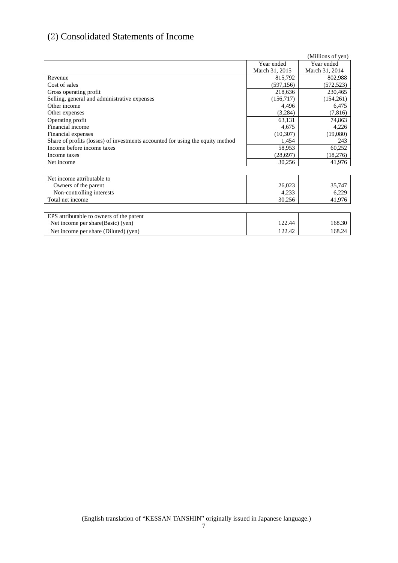## <span id="page-6-0"></span>(2) Consolidated Statements of Income

|                                                                                |                | (Millions of yen) |
|--------------------------------------------------------------------------------|----------------|-------------------|
|                                                                                | Year ended     | Year ended        |
|                                                                                | March 31, 2015 | March 31, 2014    |
| Revenue                                                                        | 815,792        | 802,988           |
| Cost of sales                                                                  | (597, 156)     | (572, 523)        |
| Gross operating profit                                                         | 218,636        | 230,465           |
| Selling, general and administrative expenses                                   | (156,717)      | (154, 261)        |
| Other income                                                                   | 4,496          | 6,475             |
| Other expenses                                                                 | (3,284)        | (7,816)           |
| Operating profit                                                               | 63,131         | 74,863            |
| Financial income                                                               | 4,675          | 4,226             |
| Financial expenses                                                             | (10, 307)      | (19,080)          |
| Share of profits (losses) of investments accounted for using the equity method | 1,454          | 243               |
| Income before income taxes                                                     | 58,953         | 60,252            |
| Income taxes                                                                   | (28,697)       | (18,276)          |
| Net income                                                                     | 30,256         | 41,976            |
|                                                                                |                |                   |
| Net income attributable to                                                     |                |                   |
| Owners of the parent                                                           | 26,023         | 35,747            |
| Non-controlling interests                                                      | 4,233          | 6,229             |
| Total net income                                                               | 30,256         | 41,976            |
|                                                                                |                |                   |
| EPS attributable to owners of the parent                                       |                |                   |
| Net income per share (Basic) (yen)                                             | 122.44         | 168.30            |
| Net income per share (Diluted) (yen)                                           | 122.42         | 168.24            |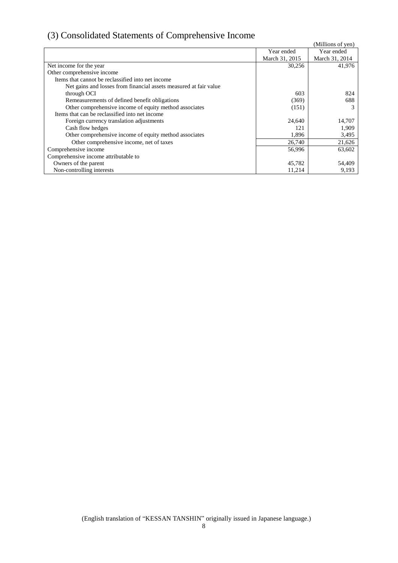## <span id="page-7-0"></span>(3) Consolidated Statements of Comprehensive Income

| $\mathcal{O}_I$ consolidated blatefronts of complements $\mathbf{v}$ meonic |                |                   |
|-----------------------------------------------------------------------------|----------------|-------------------|
|                                                                             |                | (Millions of yen) |
|                                                                             | Year ended     | Year ended        |
|                                                                             | March 31, 2015 | March 31, 2014    |
| Net income for the year                                                     | 30,256         | 41,976            |
| Other comprehensive income                                                  |                |                   |
| Items that cannot be reclassified into net income                           |                |                   |
| Net gains and losses from financial assets measured at fair value           |                |                   |
| through OCI                                                                 | 603            | 824               |
| Remeasurements of defined benefit obligations                               | (369)          | 688               |
| Other comprehensive income of equity method associates                      | (151)          |                   |
| Items that can be reclassified into net income                              |                |                   |
| Foreign currency translation adjustments                                    | 24,640         | 14,707            |
| Cash flow hedges                                                            | 121            | 1,909             |
| Other comprehensive income of equity method associates                      | 1,896          | 3,495             |
| Other comprehensive income, net of taxes                                    | 26,740         | 21,626            |
| Comprehensive income                                                        | 56,996         | 63,602            |
| Comprehensive income attributable to                                        |                |                   |
| Owners of the parent                                                        | 45,782         | 54,409            |
| Non-controlling interests                                                   | 11,214         | 9,193             |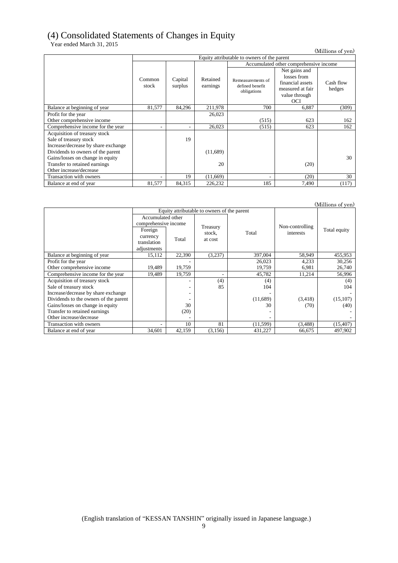## (4) Consolidated Statements of Changes in Equity

Year ended March 31, 2015

(Millions of yen)

|                                     |        | Equity attributable to owners of the parent |          |                                        |                  |           |  |  |  |  |
|-------------------------------------|--------|---------------------------------------------|----------|----------------------------------------|------------------|-----------|--|--|--|--|
|                                     |        |                                             |          | Accumulated other comprehensive income |                  |           |  |  |  |  |
|                                     |        |                                             |          |                                        | Net gains and    |           |  |  |  |  |
|                                     | Common | Capital                                     | Retained | Remeasurements of                      | losses from      |           |  |  |  |  |
|                                     | stock  | surplus                                     | earnings | defined benefit                        | financial assets | Cash flow |  |  |  |  |
|                                     |        |                                             |          | obligations                            | measured at fair | hedges    |  |  |  |  |
|                                     |        |                                             |          |                                        | value through    |           |  |  |  |  |
|                                     |        |                                             |          |                                        | <b>OCI</b>       |           |  |  |  |  |
| Balance at beginning of year        | 81,577 | 84,296                                      | 211,978  | 700                                    | 6,887            | (309)     |  |  |  |  |
| Profit for the year                 |        |                                             | 26,023   |                                        |                  |           |  |  |  |  |
| Other comprehensive income          |        |                                             |          | (515)                                  | 623              | 162       |  |  |  |  |
| Comprehensive income for the year   | ۰      |                                             | 26,023   | (515)                                  | 623              | 162       |  |  |  |  |
| Acquisition of treasury stock       |        |                                             |          |                                        |                  |           |  |  |  |  |
| Sale of treasury stock              |        | 19                                          |          |                                        |                  |           |  |  |  |  |
| Increase/decrease by share exchange |        |                                             |          |                                        |                  |           |  |  |  |  |
| Dividends to owners of the parent   |        |                                             | (11,689) |                                        |                  |           |  |  |  |  |
| Gains/losses on change in equity    |        |                                             |          |                                        |                  | 30        |  |  |  |  |
| Transfer to retained earnings       |        |                                             | 20       |                                        | (20)             |           |  |  |  |  |
| Other increase/decrease             |        |                                             |          |                                        |                  |           |  |  |  |  |
| Transaction with owners             |        | 19                                          | (11,669) | ٠                                      | (20)             | 30        |  |  |  |  |
| Balance at end of year              | 81,577 | 84,315                                      | 226,232  | 185                                    | 7,490            | (117)     |  |  |  |  |

|                                       |                                                   |        |                                             |           |                 | (Millions of yen) |
|---------------------------------------|---------------------------------------------------|--------|---------------------------------------------|-----------|-----------------|-------------------|
|                                       |                                                   |        | Equity attributable to owners of the parent |           |                 |                   |
|                                       | Accumulated other<br>comprehensive income         |        | Treasury                                    |           | Non-controlling |                   |
|                                       | Foreign<br>currency<br>translation<br>adjustments | Total  | stock,<br>at cost                           | Total     | interests       | Total equity      |
| Balance at beginning of year          | 15,112                                            | 22,390 | (3,237)                                     | 397,004   | 58,949          | 455,953           |
| Profit for the year                   |                                                   |        |                                             | 26,023    | 4,233           | 30,256            |
| Other comprehensive income            | 19,489                                            | 19,759 |                                             | 19,759    | 6,981           | 26,740            |
| Comprehensive income for the year     | 19,489                                            | 19,759 |                                             | 45,782    | 11,214          | 56,996            |
| Acquisition of treasury stock         |                                                   |        | (4)                                         | (4)       |                 | (4)               |
| Sale of treasury stock                |                                                   |        | 85                                          | 104       |                 | 104               |
| Increase/decrease by share exchange   |                                                   |        |                                             |           |                 |                   |
| Dividends to the owners of the parent |                                                   |        |                                             | (11,689)  | (3,418)         | (15,107)          |
| Gains/losses on change in equity      |                                                   | 30     |                                             | 30        | (70)            | (40)              |
| Transfer to retained earnings         |                                                   | (20)   |                                             |           |                 |                   |
| Other increase/decrease               |                                                   |        |                                             |           |                 |                   |
| Transaction with owners               |                                                   | 10     | 81                                          | (11, 599) | (3,488)         | (15, 407)         |
| Balance at end of year                | 34,601                                            | 42,159 | (3,156)                                     | 431,227   | 66,675          | 497,902           |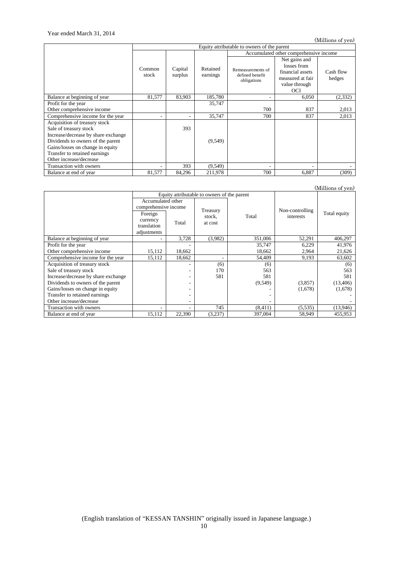(Millions of yen)

|                                                                                                                                                                                                                                     | Equity attributable to owners of the parent |                    |                      |                                                     |                                                                                              |                     |  |  |
|-------------------------------------------------------------------------------------------------------------------------------------------------------------------------------------------------------------------------------------|---------------------------------------------|--------------------|----------------------|-----------------------------------------------------|----------------------------------------------------------------------------------------------|---------------------|--|--|
|                                                                                                                                                                                                                                     |                                             |                    |                      |                                                     | Accumulated other comprehensive income                                                       |                     |  |  |
|                                                                                                                                                                                                                                     | Common<br>stock                             | Capital<br>surplus | Retained<br>earnings | Remeasurements of<br>defined benefit<br>obligations | Net gains and<br>losses from<br>financial assets<br>measured at fair<br>value through<br>OCI | Cash flow<br>hedges |  |  |
| Balance at beginning of year                                                                                                                                                                                                        | 81,577                                      | 83,903             | 185,780              | ۰                                                   | 6,050                                                                                        | (2, 332)            |  |  |
| Profit for the year                                                                                                                                                                                                                 |                                             |                    | 35,747               |                                                     |                                                                                              |                     |  |  |
| Other comprehensive income                                                                                                                                                                                                          |                                             |                    |                      | 700                                                 | 837                                                                                          | 2,013               |  |  |
| Comprehensive income for the year                                                                                                                                                                                                   | ۰                                           |                    | 35,747               | 700                                                 | 837                                                                                          | 2,013               |  |  |
| Acquisition of treasury stock<br>Sale of treasury stock<br>Increase/decrease by share exchange<br>Dividends to owners of the parent<br>Gains/losses on change in equity<br>Transfer to retained earnings<br>Other increase/decrease |                                             | 393                | (9,549)              |                                                     |                                                                                              |                     |  |  |
| Transaction with owners                                                                                                                                                                                                             | ۰                                           | 393                | (9, 549)             | $\overline{\phantom{a}}$                            |                                                                                              |                     |  |  |
| Balance at end of year                                                                                                                                                                                                              | 81,577                                      | 84,296             | 211,978              | 700                                                 | 6,887                                                                                        | (309)               |  |  |

(Millions of yen)

|                                     |                      | Equity attributable to owners of the parent |          |          |                 |              |  |
|-------------------------------------|----------------------|---------------------------------------------|----------|----------|-----------------|--------------|--|
|                                     | Accumulated other    |                                             |          |          |                 |              |  |
|                                     | comprehensive income |                                             | Treasury | Total    | Non-controlling |              |  |
|                                     | Foreign              |                                             | stock,   |          | interests       | Total equity |  |
|                                     | currency             | Total                                       | at cost  |          |                 |              |  |
|                                     | translation          |                                             |          |          |                 |              |  |
|                                     | adjustments          |                                             |          |          |                 |              |  |
| Balance at beginning of year        | ٠                    | 3,728                                       | (3,982)  | 351,006  | 52,291          | 406,297      |  |
| Profit for the year                 |                      |                                             |          | 35,747   | 6.229           | 41,976       |  |
| Other comprehensive income          | 15,112               | 18,662                                      |          | 18,662   | 2,964           | 21,626       |  |
| Comprehensive income for the year   | 15,112               | 18,662                                      |          | 54,409   | 9,193           | 63,602       |  |
| Acquisition of treasury stock       |                      |                                             | (6)      | (6)      |                 | (6)          |  |
| Sale of treasury stock              |                      |                                             | 170      | 563      |                 | 563          |  |
| Increase/decrease by share exchange |                      |                                             | 581      | 581      |                 | 581          |  |
| Dividends to owners of the parent   |                      |                                             |          | (9, 549) | (3,857)         | (13,406)     |  |
| Gains/losses on change in equity    |                      |                                             |          |          | (1,678)         | (1,678)      |  |
| Transfer to retained earnings       |                      |                                             |          |          |                 |              |  |
| Other increase/decrease             |                      |                                             |          |          |                 |              |  |
| Transaction with owners             | ۰                    | ۰                                           | 745      | (8,411)  | (5, 535)        | (13,946)     |  |
| Balance at end of year              | 15,112               | 22,390                                      | (3,237)  | 397,004  | 58,949          | 455,953      |  |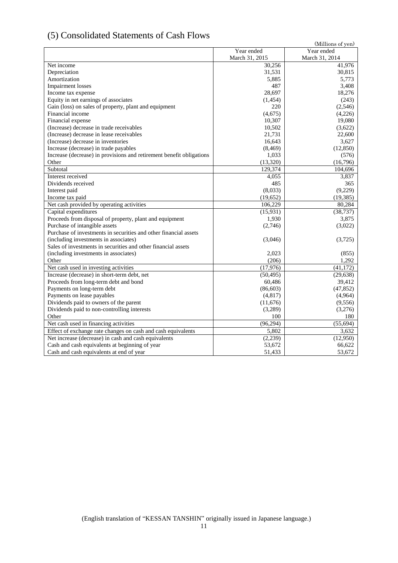## <span id="page-10-0"></span>(5) Consolidated Statements of Cash Flows

| (9) Consondated Blatements of Cash I to                              |                | (Millions of yen) |
|----------------------------------------------------------------------|----------------|-------------------|
|                                                                      | Year ended     | Year ended        |
|                                                                      | March 31, 2015 | March 31, 2014    |
| Net income                                                           | 30,256         | 41,976            |
| Depreciation                                                         | 31,531         | 30,815            |
| Amortization                                                         | 5,885          | 5,773             |
| <b>Impairment</b> losses                                             | 487            | 3,408             |
| Income tax expense                                                   | 28,697         | 18,276            |
| Equity in net earnings of associates                                 | (1,454)        | (243)             |
| Gain (loss) on sales of property, plant and equipment                | 220            | (2,546)           |
| Financial income                                                     | (4,675)        | (4,226)           |
| Financial expense                                                    | 10,307         | 19,080            |
| (Increase) decrease in trade receivables                             | 10,502         | (3,622)           |
| (Increase) decrease in lease receivables                             | 21,731         | 22,600            |
| (Increase) decrease in inventories                                   | 16,643         | 3,627             |
| Increase (decrease) in trade payables                                | (8, 469)       | (12, 850)         |
| Increase (decrease) in provisions and retirement benefit obligations | 1,033          | (576)             |
| Other                                                                | (13, 320)      | (16,796)          |
| Subtotal                                                             | 129,374        | 104,696           |
| Interest received                                                    | 4,055          | 3,837             |
| Dividends received                                                   | 485            | 365               |
| Interest paid                                                        | (8,033)        | (9,229)           |
| Income tax paid                                                      | (19,652)       | (19, 385)         |
| Net cash provided by operating activities                            | 106,229        | 80,284            |
| Capital expenditures                                                 | (15,931)       | (38, 737)         |
| Proceeds from disposal of property, plant and equipment              | 1,930          | 3,875             |
| Purchase of intangible assets                                        | (2,746)        | (3,022)           |
| Purchase of investments in securities and other financial assets     |                |                   |
| (including investments in associates)                                | (3,046)        | (3,725)           |
| Sales of investments in securities and other financial assets        |                |                   |
| (including investments in associates)                                | 2,023          | (855)             |
| Other                                                                | (206)          | 1,292             |
| Net cash used in investing activities                                | (17,976)       | (41, 172)         |
| Increase (decrease) in short-term debt, net                          | (50, 495)      | (29, 638)         |
| Proceeds from long-term debt and bond                                | 60,486         | 39,412            |
| Payments on long-term debt                                           | (86, 603)      | (47, 852)         |
| Payments on lease payables                                           | (4,817)        | (4,964)           |
| Dividends paid to owners of the parent                               | (11,676)       | (9, 556)          |
| Dividends paid to non-controlling interests                          | (3,289)        | (3,276)           |
| Other                                                                | 100            | 180               |
| Net cash used in financing activities                                | (96,294)       | (55, 694)         |
| Effect of exchange rate changes on cash and cash equivalents         | 5.802          | 3,632             |
| Net increase (decrease) in cash and cash equivalents                 | (2,239)        | (12,950)          |
| Cash and cash equivalents at beginning of year                       | 53,672         | 66,622            |
| Cash and cash equivalents at end of year                             | 51,433         | 53,672            |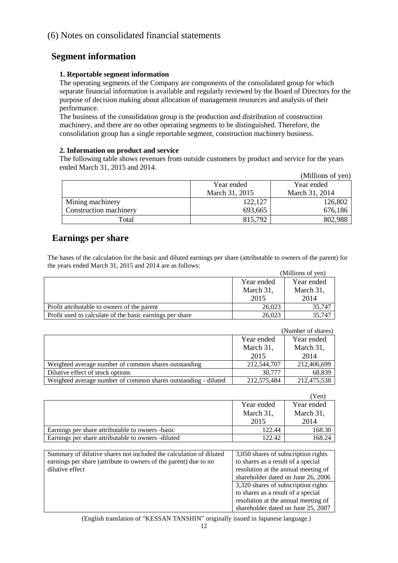## <span id="page-11-0"></span>(6) Notes on consolidated financial statements

## <span id="page-11-1"></span>**Segment information**

## **1. Reportable segment information**

The operating segments of the Company are components of the consolidated group for which separate financial information is available and regularly reviewed by the Board of Directors for the purpose of decision making about allocation of management resources and analysis of their performance.

The business of the consolidation group is the production and distribution of construction machinery, and there are no other operating segments to be distinguished. Therefore, the consolidation group has a single reportable segment, construction machinery business.

### **2. Information on product and service**

The following table shows revenues from outside customers by product and service for the years ended March 31, 2015 and 2014.

|                        |                | (Millions of yen) |
|------------------------|----------------|-------------------|
|                        | Year ended     | Year ended        |
|                        | March 31, 2015 | March 31, 2014    |
| Mining machinery       | 122,127        | 126,802           |
| Construction machinery | 693,665        | 676,186           |
| Total                  | 815,792        | 802,988           |

## <span id="page-11-2"></span>**Earnings per share**

The bases of the calculation for the basic and diluted earnings per share (attributable to owners of the parent) for the years ended March 31, 2015 and 2014 are as follows:

|                                                          |            | (Millions of yen) |
|----------------------------------------------------------|------------|-------------------|
|                                                          | Year ended | Year ended        |
|                                                          | March 31,  | March 31,         |
|                                                          | 2015       | 2014              |
| Profit attributable to owners of the parent              | 26,023     | 35,747            |
| Profit used to calculate of the basic earnings per share | 26,023     | 35,747            |

|                                                                |             | (Number of shares) |
|----------------------------------------------------------------|-------------|--------------------|
|                                                                | Year ended  | Year ended         |
|                                                                | March 31,   | March 31,          |
|                                                                | 2015        | 2014               |
| Weighted average number of common shares outstanding           | 212,544,707 | 212,406,699        |
| Dilutive effect of stock options                               | 30,777      | 68,839             |
| Weighted average number of common shares outstanding - diluted | 212,575,484 | 212,475,538        |

|                                                    |            | Yen`       |
|----------------------------------------------------|------------|------------|
|                                                    | Year ended | Year ended |
|                                                    | March 31,  | March 31,  |
|                                                    | 2015       | 2014       |
| Earnings per share attributable to owners -basic   | 122.44     | 168.30     |
| Earnings per share attributable to owners -diluted | 122.42     | 168.24     |

| Summary of dilutive shares not included the calculation of diluted | 3,050 shares of subscription rights |
|--------------------------------------------------------------------|-------------------------------------|
| earnings per share (attribute to owners of the parent) due to no   | to shares as a result of a special  |
| dilutive effect                                                    | resolution at the annual meeting of |
|                                                                    | shareholder dated on June 26, 2006  |
|                                                                    | 3,320 shares of subscription rights |
|                                                                    | to shares as a result of a special  |
|                                                                    | resolution at the annual meeting of |
|                                                                    | shareholder dated on June 25, 2007  |

(English translation of "KESSAN TANSHIN" originally issued in Japanese language.)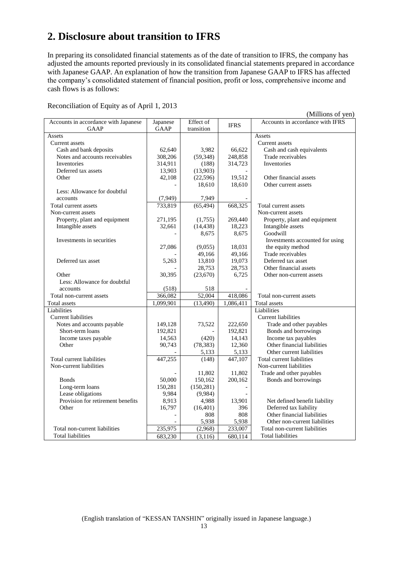## <span id="page-12-0"></span>**2. Disclosure about transition to IFRS**

In preparing its consolidated financial statements as of the date of transition to IFRS, the company has adjusted the amounts reported previously in its consolidated financial statements prepared in accordance with Japanese GAAP. An explanation of how the transition from Japanese GAAP to IFRS has affected the company's consolidated statement of financial position, profit or loss, comprehensive income and cash flows is as follows:

Reconciliation of Equity as of April 1, 2013

|                                      |             |            |                       | (Millions of yen)                |
|--------------------------------------|-------------|------------|-----------------------|----------------------------------|
| Accounts in accordance with Japanese | Japanese    | Effect of  | <b>IFRS</b>           | Accounts in accordance with IFRS |
| <b>GAAP</b>                          | <b>GAAP</b> | transition |                       |                                  |
| Assets                               |             |            |                       | Assets                           |
| Current assets                       |             |            |                       | Current assets                   |
| Cash and bank deposits               | 62,640      | 3,982      | 66,622                | Cash and cash equivalents        |
| Notes and accounts receivables       | 308,206     | (59,348)   | 248,858               | Trade receivables                |
| Inventories                          | 314,911     | (188)      | 314,723               | Inventories                      |
| Deferred tax assets                  | 13,903      | (13,903)   |                       |                                  |
| Other                                | 42,108      | (22,596)   | 19,512                | Other financial assets           |
|                                      |             | 18,610     | 18,610                | Other current assets             |
| Less: Allowance for doubtful         |             |            |                       |                                  |
| accounts                             | (7,949)     | 7,949      |                       |                                  |
| Total current assets                 | 733,819     | (65, 494)  | 668,325               | Total current assets             |
| Non-current assets                   |             |            |                       | Non-current assets               |
| Property, plant and equipment        | 271,195     | (1,755)    | 269,440               | Property, plant and equipment    |
| Intangible assets                    | 32,661      | (14, 438)  | 18,223                | Intangible assets                |
|                                      |             | 8,675      | 8,675                 | Goodwill                         |
| Investments in securities            |             |            |                       | Investments accounted for using  |
|                                      | 27,086      | (9,055)    | 18,031                | the equity method                |
|                                      |             | 49,166     | 49,166                | Trade receivables                |
| Deferred tax asset                   | 5,263       | 13,810     | 19,073                | Deferred tax asset               |
|                                      |             | 28,753     | 28,753                | Other financial assets           |
| Other                                | 30,395      | (23,670)   | 6,725                 | Other non-current assets         |
| Less: Allowance for doubtful         |             |            |                       |                                  |
| accounts                             | (518)       | 518        |                       |                                  |
| Total non-current assets             | 366,082     | 52,004     | 418,086               | Total non-current assets         |
| Total assets                         | 1,099,901   | (13,490)   | 1,086,411             | Total assets                     |
| Liabilities                          |             |            |                       | Liabilities                      |
| Current liabilities                  |             |            |                       | Current liabilities              |
| Notes and accounts payable           | 149,128     | 73,522     | 222,650               | Trade and other payables         |
| Short-term loans                     | 192,821     |            | 192,821               | Bonds and borrowings             |
| Income taxes payable                 | 14,563      | (420)      | 14,143                | Income tax payables              |
| Other                                | 90,743      | (78, 383)  | 12,360                | Other financial liabilities      |
|                                      |             | 5,133      | 5,133                 | Other current liabilities        |
| Total current liabilities            | 447,255     | (148)      | $\overline{447, 107}$ | Total current liabilities        |
| Non-current liabilities              |             |            |                       | Non-current liabilities          |
|                                      |             | 11,802     | 11,802                | Trade and other payables         |
| <b>Bonds</b>                         | 50,000      | 150,162    | 200,162               | Bonds and borrowings             |
| Long-term loans                      | 150,281     | (150, 281) |                       |                                  |
| Lease obligations                    | 9,984       | (9,984)    |                       |                                  |
| Provision for retirement benefits    | 8,913       | 4,988      | 13,901                | Net defined benefit liability    |
| Other                                | 16,797      | (16, 401)  | 396                   | Deferred tax liability           |
|                                      |             | 808        | 808                   | Other financial liabilities      |
|                                      |             | 5,938      | 5,938                 | Other non-current liabilities    |
| Total non-current liabilities        |             | (2,968)    | 233,007               | Total non-current liabilities    |
|                                      | 235,975     |            |                       |                                  |
| Total liabilities                    | 683,230     | (3, 116)   | $\overline{680,}114$  | Total liabilities                |

(English translation of "KESSAN TANSHIN" originally issued in Japanese language.)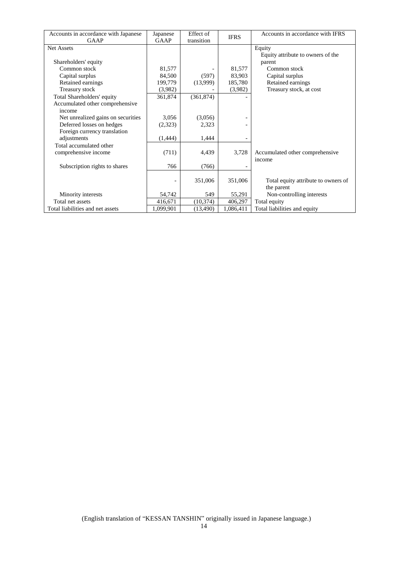| Accounts in accordance with Japanese | Japanese  | Effect of  | <b>IFRS</b> | Accounts in accordance with IFRS    |
|--------------------------------------|-----------|------------|-------------|-------------------------------------|
| <b>GAAP</b>                          | GAAP      | transition |             |                                     |
| <b>Net Assets</b>                    |           |            |             | Equity                              |
|                                      |           |            |             | Equity attribute to owners of the   |
| Shareholders' equity                 |           |            |             | parent                              |
| Common stock                         | 81,577    |            | 81,577      | Common stock                        |
| Capital surplus                      | 84,500    | (597)      | 83,903      | Capital surplus                     |
| Retained earnings                    | 199,779   | (13,999)   | 185,780     | Retained earnings                   |
| Treasury stock                       | (3,982)   |            | (3,982)     | Treasury stock, at cost             |
| Total Shareholders' equity           | 361,874   | (361, 874) |             |                                     |
| Accumulated other comprehensive      |           |            |             |                                     |
| income                               |           |            |             |                                     |
| Net unrealized gains on securities   | 3,056     | (3,056)    |             |                                     |
| Deferred losses on hedges            | (2,323)   | 2,323      |             |                                     |
| Foreign currency translation         |           |            |             |                                     |
| adjustments                          | (1,444)   | 1,444      |             |                                     |
| Total accumulated other              |           |            |             |                                     |
| comprehensive income                 | (711)     | 4,439      | 3,728       | Accumulated other comprehensive     |
|                                      |           |            |             | income                              |
| Subscription rights to shares        | 766       | (766)      |             |                                     |
|                                      |           |            |             |                                     |
|                                      |           | 351,006    | 351,006     | Total equity attribute to owners of |
|                                      |           |            |             | the parent                          |
| Minority interests                   | 54,742    | 549        | 55,291      | Non-controlling interests           |
| Total net assets                     | 416,671   | (10, 374)  | 406,297     | Total equity                        |
| Total liabilities and net assets     | 1,099,901 | (13, 490)  | 1,086,411   | Total liabilities and equity        |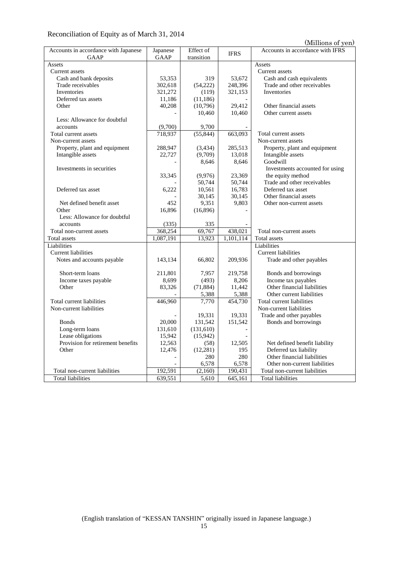## Reconciliation of Equity as of March 31, 2014

(Millions of yen)

| Accounts in accordance with Japanese | Japanese    | Effect of  | <b>IFRS</b> | Accounts in accordance with IFRS |
|--------------------------------------|-------------|------------|-------------|----------------------------------|
| <b>GAAP</b>                          | <b>GAAP</b> | transition |             |                                  |
| Assets                               |             |            |             | Assets                           |
| Current assets                       |             |            |             | Current assets                   |
| Cash and bank deposits               | 53,353      | 319        | 53,672      | Cash and cash equivalents        |
| Trade receivables                    | 302,618     | (54,222)   | 248,396     | Trade and other receivables      |
| Inventories                          | 321,272     | (119)      | 321,153     | Inventories                      |
| Deferred tax assets                  | 11,186      | (11, 186)  |             |                                  |
| Other                                | 40,208      | (10,796)   | 29,412      | Other financial assets           |
|                                      |             | 10,460     | 10,460      | Other current assets             |
| Less: Allowance for doubtful         |             |            |             |                                  |
| accounts                             | (9,700)     | 9,700      |             |                                  |
| Total current assets                 | 718,937     | (55, 844)  | 663,093     | Total current assets             |
| Non-current assets                   |             |            |             | Non-current assets               |
| Property, plant and equipment        | 288,947     | (3,434)    | 285,513     | Property, plant and equipment    |
| Intangible assets                    | 22,727      | (9,709)    | 13,018      | Intangible assets                |
|                                      |             | 8,646      | 8,646       | Goodwill                         |
| Investments in securities            |             |            |             | Investments accounted for using  |
|                                      | 33,345      | (9,976)    | 23,369      | the equity method                |
|                                      |             | 50,744     | 50,744      | Trade and other receivables      |
| Deferred tax asset                   | 6,222       | 10,561     | 16,783      | Deferred tax asset               |
|                                      |             | 30,145     | 30,145      | Other financial assets           |
| Net defined benefit asset            | 452         | 9,351      | 9,803       | Other non-current assets         |
| Other                                | 16,896      | (16,896)   |             |                                  |
| Less: Allowance for doubtful         |             |            |             |                                  |
| accounts                             | (335)       | 335        |             |                                  |
| Total non-current assets             | 368,254     | 69,767     | 438,021     | Total non-current assets         |
| Total assets                         | 1,087,191   | 13,923     | 1,101,114   | Total assets                     |
| Liabilities                          |             |            |             | Liabilities                      |
| <b>Current liabilities</b>           |             |            |             | <b>Current liabilities</b>       |
| Notes and accounts payable           | 143,134     | 66,802     | 209,936     | Trade and other payables         |
|                                      |             |            |             |                                  |
| Short-term loans                     | 211,801     | 7,957      | 219,758     | Bonds and borrowings             |
| Income taxes payable                 | 8,699       | (493)      | 8,206       | Income tax payables              |
| Other                                | 83,326      | (71, 884)  | 11,442      | Other financial liabilities      |
|                                      |             | 5,388      | 5,388       | Other current liabilities        |
| Total current liabilities            | 446,960     | 7,770      | 454,730     | Total current liabilities        |
| Non-current liabilities              |             |            |             | Non-current liabilities          |
|                                      |             | 19,331     | 19,331      | Trade and other payables         |
| <b>Bonds</b>                         | 20,000      | 131,542    | 151,542     | Bonds and borrowings             |
| Long-term loans                      | 131,610     | (131, 610) |             |                                  |
| Lease obligations                    | 15,942      | (15,942)   |             |                                  |
| Provision for retirement benefits    | 12,563      | (58)       | 12,505      | Net defined benefit liability    |
| Other                                | 12,476      | (12, 281)  | 195         | Deferred tax liability           |
|                                      |             | 280        | 280         | Other financial liabilities      |
|                                      |             | 6,578      | 6,578       | Other non-current liabilities    |
| Total non-current liabilities        | 192,591     | (2,160)    | 190,431     | Total non-current liabilities    |
| <b>Total liabilities</b>             | 639,551     | 5,610      | 645,161     | <b>Total liabilities</b>         |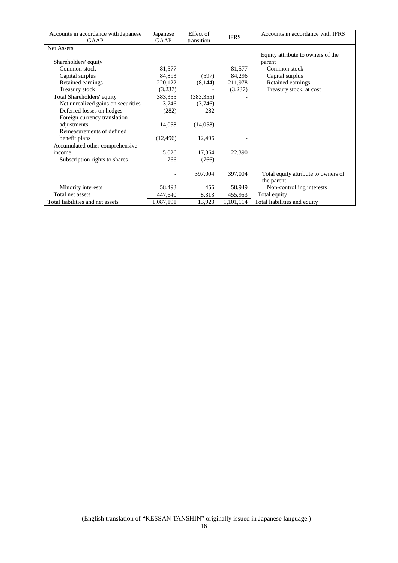| Accounts in accordance with Japanese | Japanese    | Effect of  | <b>IFRS</b> | Accounts in accordance with IFRS    |
|--------------------------------------|-------------|------------|-------------|-------------------------------------|
| <b>GAAP</b>                          | <b>GAAP</b> | transition |             |                                     |
| <b>Net Assets</b>                    |             |            |             |                                     |
|                                      |             |            |             | Equity attribute to owners of the   |
| Shareholders' equity                 |             |            |             | parent                              |
| Common stock                         | 81,577      |            | 81,577      | Common stock                        |
| Capital surplus                      | 84,893      | (597)      | 84,296      | Capital surplus                     |
| Retained earnings                    | 220,122     | (8,144)    | 211,978     | Retained earnings                   |
| Treasury stock                       | (3,237)     |            | (3,237)     | Treasury stock, at cost             |
| Total Shareholders' equity           | 383,355     | (383, 355) |             |                                     |
| Net unrealized gains on securities   | 3,746       | (3,746)    |             |                                     |
| Deferred losses on hedges            | (282)       | 282        |             |                                     |
| Foreign currency translation         |             |            |             |                                     |
| adjustments                          | 14,058      | (14,058)   |             |                                     |
| Remeasurements of defined            |             |            |             |                                     |
| benefit plans                        | (12, 496)   | 12,496     |             |                                     |
| Accumulated other comprehensive      |             |            |             |                                     |
| income                               | 5,026       | 17,364     | 22,390      |                                     |
| Subscription rights to shares        | 766         | (766)      |             |                                     |
|                                      |             |            |             |                                     |
|                                      |             | 397,004    | 397,004     | Total equity attribute to owners of |
|                                      |             |            |             | the parent                          |
| Minority interests                   | 58,493      | 456        | 58,949      | Non-controlling interests           |
| Total net assets                     | 447,640     | 8,313      | 455,953     | Total equity                        |
| Total liabilities and net assets     | 1,087,191   | 13,923     | 1,101,114   | Total liabilities and equity        |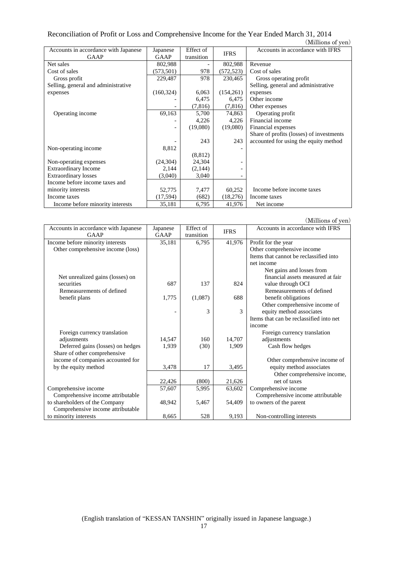#### Reconciliation of Profit or Loss and Comprehensive Income for the Year Ended March 31, 2014 (Millions of yen)

|                                      |            |            |             | (TATHING OF ACITY                        |
|--------------------------------------|------------|------------|-------------|------------------------------------------|
| Accounts in accordance with Japanese | Japanese   | Effect of  | <b>IFRS</b> | Accounts in accordance with IFRS         |
| <b>GAAP</b>                          | GAAP       | transition |             |                                          |
| Net sales                            | 802,988    |            | 802,988     | Revenue                                  |
| Cost of sales                        | (573, 501) | 978        | (572, 523)  | Cost of sales                            |
| Gross profit                         | 229,487    | 978        | 230,465     | Gross operating profit                   |
| Selling, general and administrative  |            |            |             | Selling, general and administrative      |
| expenses                             | (160, 324) | 6,063      | (154,261)   | expenses                                 |
|                                      |            | 6,475      | 6,475       | Other income                             |
|                                      |            | (7,816)    | (7,816)     | Other expenses                           |
| Operating income                     | 69,163     | 5,700      | 74,863      | Operating profit                         |
|                                      |            | 4,226      | 4,226       | Financial income                         |
|                                      |            | (19,080)   | (19,080)    | Financial expenses                       |
|                                      |            |            |             | Share of profits (losses) of investments |
|                                      |            | 243        | 243         | accounted for using the equity method    |
| Non-operating income                 | 8,812      |            |             |                                          |
|                                      |            | (8, 812)   |             |                                          |
| Non-operating expenses               | (24,304)   | 24,304     |             |                                          |
| <b>Extraordinary Income</b>          | 2,144      | (2,144)    |             |                                          |
| <b>Extraordinary losses</b>          | (3,040)    | 3,040      |             |                                          |
| Income before income taxes and       |            |            |             |                                          |
| minority interests                   | 52,775     | 7,477      | 60,252      | Income before income taxes               |
| Income taxes                         | (17,594)   | (682)      | (18,276)    | Income taxes                             |
| Income before minority interests     | 35,181     | 6,795      | 41,976      | Net income                               |

|                                              |                  |                         |             | (Millions of yen)                       |  |
|----------------------------------------------|------------------|-------------------------|-------------|-----------------------------------------|--|
| Accounts in accordance with Japanese<br>GAAP | Japanese<br>GAAP | Effect of<br>transition | <b>IFRS</b> | Accounts in accordance with IFRS        |  |
| Income before minority interests             | 35,181           | 6,795                   | 41,976      | Profit for the year                     |  |
| Other comprehensive income (loss)            |                  |                         |             | Other comprehensive income              |  |
|                                              |                  |                         |             | Items that cannot be reclassified into  |  |
|                                              |                  |                         |             | net income                              |  |
|                                              |                  |                         |             | Net gains and losses from               |  |
| Net unrealized gains (losses) on             |                  |                         |             | financial assets measured at fair       |  |
| securities                                   | 687              | 137                     | 824         | value through OCI                       |  |
| Remeasurements of defined                    |                  |                         |             | Remeasurements of defined               |  |
| benefit plans                                | 1,775            | (1,087)                 | 688         | benefit obligations                     |  |
|                                              |                  |                         |             | Other comprehensive income of           |  |
|                                              |                  | 3                       | 3           | equity method associates                |  |
|                                              |                  |                         |             | Items that can be reclassified into net |  |
|                                              |                  |                         |             | income                                  |  |
| Foreign currency translation                 |                  |                         |             | Foreign currency translation            |  |
| adjustments                                  | 14.547           | 160                     | 14,707      | adjustments                             |  |
| Deferred gains (losses) on hedges            | 1,939            | (30)                    | 1,909       | Cash flow hedges                        |  |
| Share of other comprehensive                 |                  |                         |             |                                         |  |
| income of companies accounted for            |                  |                         |             | Other comprehensive income of           |  |
| by the equity method                         | 3,478            | 17                      | 3,495       | equity method associates                |  |
|                                              |                  |                         |             | Other comprehensive income,             |  |
|                                              | 22,426           | (800)                   | 21,626      | net of taxes                            |  |
| Comprehensive income                         | 57,607           | 5,995                   | 63,602      | Comprehensive income                    |  |
| Comprehensive income attributable            |                  |                         |             | Comprehensive income attributable       |  |
| to shareholders of the Company               | 48,942           | 5,467                   | 54,409      | to owners of the parent                 |  |
| Comprehensive income attributable            |                  |                         |             |                                         |  |
| to minority interests                        | 8,665            | 528                     | 9,193       | Non-controlling interests               |  |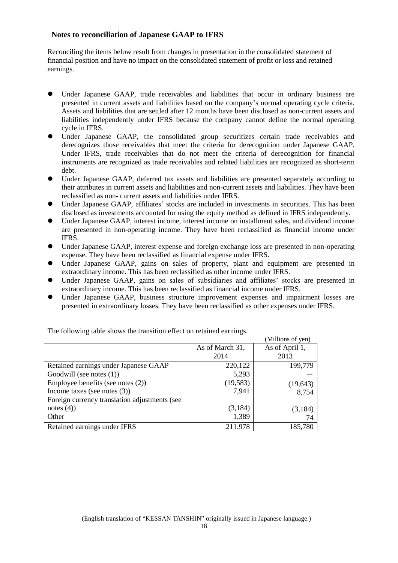## **Notes to reconciliation of Japanese GAAP to IFRS**

Reconciling the items below result from changes in presentation in the consolidated statement of financial position and have no impact on the consolidated statement of profit or loss and retained earnings.

- Under Japanese GAAP, trade receivables and liabilities that occur in ordinary business are presented in current assets and liabilities based on the company's normal operating cycle criteria. Assets and liabilities that are settled after 12 months have been disclosed as non-current assets and liabilities independently under IFRS because the company cannot define the normal operating cycle in IFRS.
- Under Japanese GAAP, the consolidated group securitizes certain trade receivables and derecognizes those receivables that meet the criteria for derecognition under Japanese GAAP. Under IFRS, trade receivables that do not meet the criteria of derecognition for financial instruments are recognized as trade receivables and related liabilities are recognized as short-term debt.
- Under Japanese GAAP, deferred tax assets and liabilities are presented separately according to their attributes in current assets and liabilities and non-current assets and liabilities. They have been reclassified as non- current assets and liabilities under IFRS.
- Under Japanese GAAP, affiliates' stocks are included in investments in securities. This has been disclosed as investments accounted for using the equity method as defined in IFRS independently.
- Under Japanese GAAP, interest income, interest income on installment sales, and dividend income are presented in non-operating income. They have been reclassified as financial income under IFRS.
- Under Japanese GAAP, interest expense and foreign exchange loss are presented in non-operating expense. They have been reclassified as financial expense under IFRS.
- Under Japanese GAAP, gains on sales of property, plant and equipment are presented in extraordinary income. This has been reclassified as other income under IFRS.
- Under Japanese GAAP, gains on sales of subsidiaries and affiliates' stocks are presented in extraordinary income. This has been reclassified as financial income under IFRS.
- Under Japanese GAAP, business structure improvement expenses and impairment losses are presented in extraordinary losses. They have been reclassified as other expenses under IFRS.

|                                               |                 | (Millions of yen) |
|-----------------------------------------------|-----------------|-------------------|
|                                               | As of March 31, | As of April 1,    |
|                                               | 2014            | 2013              |
| Retained earnings under Japanese GAAP         | 220,122         | 199,779           |
| Goodwill (see notes $(1)$ )                   | 5,293           |                   |
| Employee benefits (see notes (2))             | (19, 583)       | (19, 643)         |
| Income taxes (see notes $(3)$ )               | 7,941           | 8,754             |
| Foreign currency translation adjustments (see |                 |                   |
| notes $(4)$ )                                 | (3,184)         | (3,184)           |
| Other                                         | 1,389           | 74                |
| Retained earnings under IFRS                  | 211,978         | 185,780           |

The following table shows the transition effect on retained earnings.